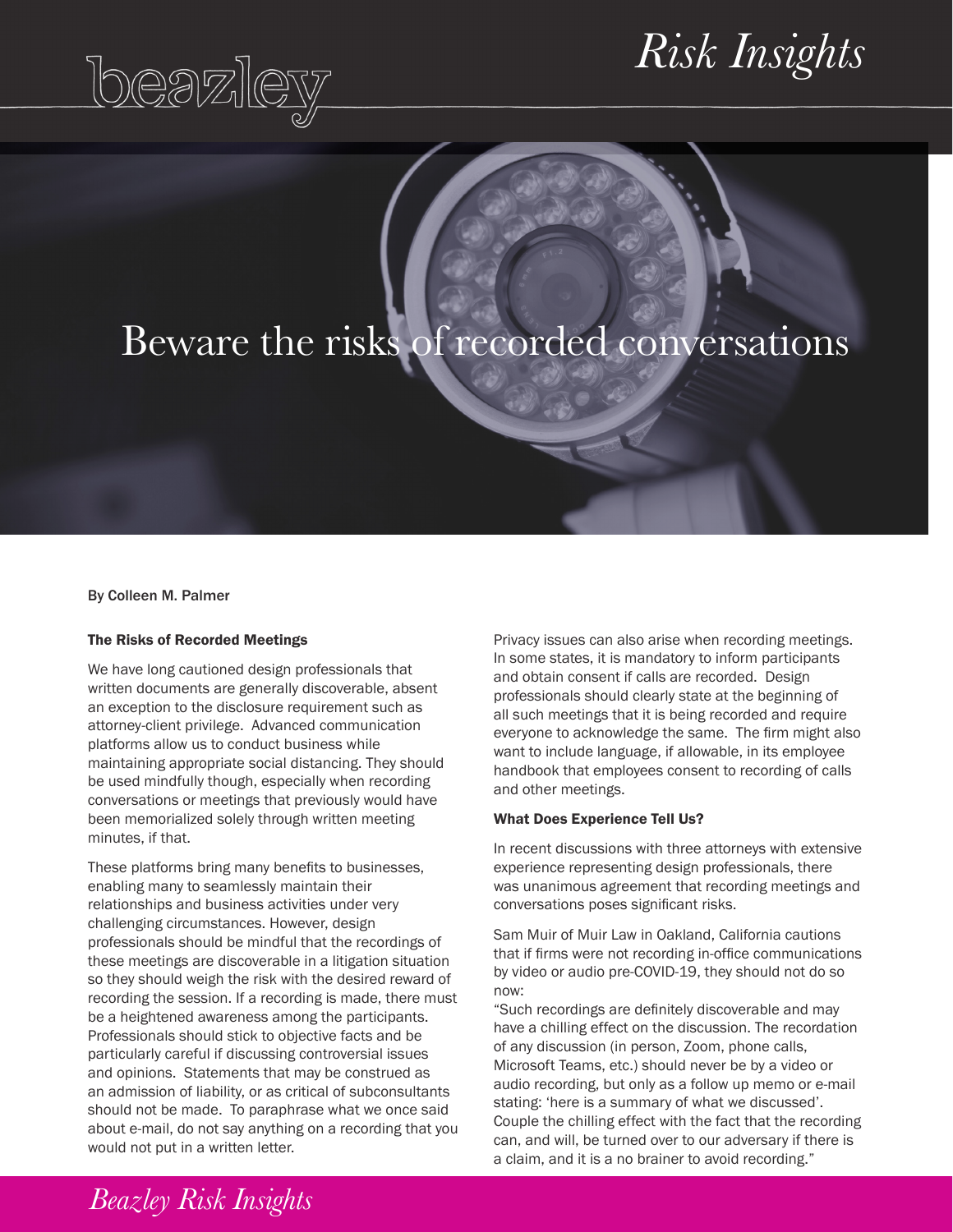# beazley

## $Risk\textit{Insights}$

### Beware the risks of recorded conversations

By Colleen M. Palmer

#### The Risks of Recorded Meetings

We have long cautioned design professionals that written documents are generally discoverable, absent an exception to the disclosure requirement such as attorney-client privilege. Advanced communication platforms allow us to conduct business while maintaining appropriate social distancing. They should be used mindfully though, especially when recording conversations or meetings that previously would have been memorialized solely through written meeting minutes, if that.

These platforms bring many benefits to businesses, enabling many to seamlessly maintain their relationships and business activities under very challenging circumstances. However, design professionals should be mindful that the recordings of these meetings are discoverable in a litigation situation so they should weigh the risk with the desired reward of recording the session. If a recording is made, there must be a heightened awareness among the participants. Professionals should stick to objective facts and be particularly careful if discussing controversial issues and opinions. Statements that may be construed as an admission of liability, or as critical of subconsultants should not be made. To paraphrase what we once said about e-mail, do not say anything on a recording that you would not put in a written letter.

Privacy issues can also arise when recording meetings. In some states, it is mandatory to inform participants and obtain consent if calls are recorded. Design professionals should clearly state at the beginning of all such meetings that it is being recorded and require everyone to acknowledge the same. The firm might also want to include language, if allowable, in its employee handbook that employees consent to recording of calls and other meetings.

#### What Does Experience Tell Us?

In recent discussions with three attorneys with extensive experience representing design professionals, there was unanimous agreement that recording meetings and conversations poses significant risks.

Sam Muir of Muir Law in Oakland, California cautions that if firms were not recording in-office communications by video or audio pre-COVID-19, they should not do so now:

"Such recordings are definitely discoverable and may have a chilling effect on the discussion. The recordation of any discussion (in person, Zoom, phone calls, Microsoft Teams, etc.) should never be by a video or audio recording, but only as a follow up memo or e-mail stating: 'here is a summary of what we discussed'. Couple the chilling effect with the fact that the recording can, and will, be turned over to our adversary if there is a claim, and it is a no brainer to avoid recording."

*Beazley Risk Insights*